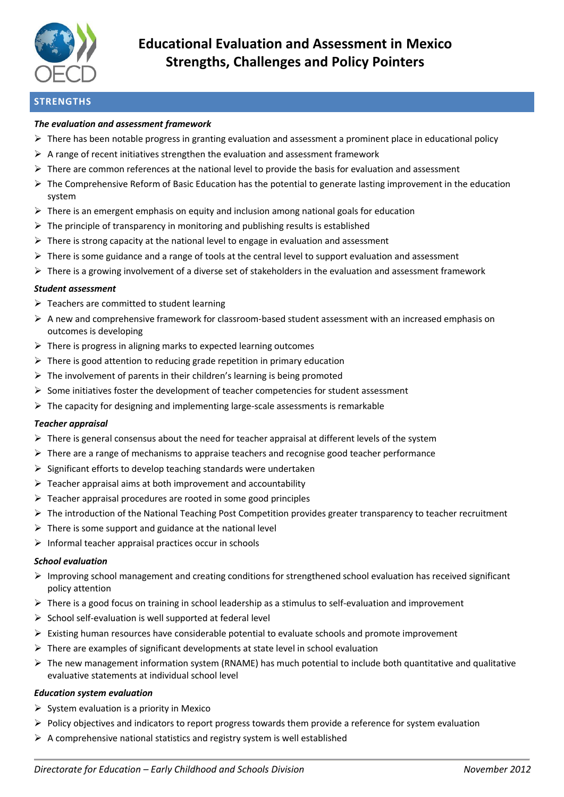

# **Educational Evaluation and Assessment in Mexico Strengths, Challenges and Policy Pointers**

# **STRENGTHS**

## *The evaluation and assessment framework*

- $\triangleright$  There has been notable progress in granting evaluation and assessment a prominent place in educational policy
- $\triangleright$  A range of recent initiatives strengthen the evaluation and assessment framework
- $\triangleright$  There are common references at the national level to provide the basis for evaluation and assessment
- The Comprehensive Reform of Basic Education has the potential to generate lasting improvement in the education system
- $\triangleright$  There is an emergent emphasis on equity and inclusion among national goals for education
- $\triangleright$  The principle of transparency in monitoring and publishing results is established
- $\triangleright$  There is strong capacity at the national level to engage in evaluation and assessment
- $\triangleright$  There is some guidance and a range of tools at the central level to support evaluation and assessment
- $\triangleright$  There is a growing involvement of a diverse set of stakeholders in the evaluation and assessment framework

#### *Student assessment*

- $\triangleright$  Teachers are committed to student learning
- $\triangleright$  A new and comprehensive framework for classroom-based student assessment with an increased emphasis on outcomes is developing
- $\triangleright$  There is progress in aligning marks to expected learning outcomes
- $\triangleright$  There is good attention to reducing grade repetition in primary education
- $\triangleright$  The involvement of parents in their children's learning is being promoted
- $\triangleright$  Some initiatives foster the development of teacher competencies for student assessment
- $\triangleright$  The capacity for designing and implementing large-scale assessments is remarkable

#### *Teacher appraisal*

- $\triangleright$  There is general consensus about the need for teacher appraisal at different levels of the system
- $\triangleright$  There are a range of mechanisms to appraise teachers and recognise good teacher performance
- $\triangleright$  Significant efforts to develop teaching standards were undertaken
- $\triangleright$  Teacher appraisal aims at both improvement and accountability
- $\triangleright$  Teacher appraisal procedures are rooted in some good principles
- $\triangleright$  The introduction of the National Teaching Post Competition provides greater transparency to teacher recruitment
- $\triangleright$  There is some support and guidance at the national level
- $\triangleright$  Informal teacher appraisal practices occur in schools

#### *School evaluation*

- $\triangleright$  Improving school management and creating conditions for strengthened school evaluation has received significant policy attention
- $\triangleright$  There is a good focus on training in school leadership as a stimulus to self-evaluation and improvement
- $\triangleright$  School self-evaluation is well supported at federal level
- $\triangleright$  Existing human resources have considerable potential to evaluate schools and promote improvement
- $\triangleright$  There are examples of significant developments at state level in school evaluation
- $\triangleright$  The new management information system (RNAME) has much potential to include both quantitative and qualitative evaluative statements at individual school level

#### *Education system evaluation*

- $\triangleright$  System evaluation is a priority in Mexico
- $\triangleright$  Policy objectives and indicators to report progress towards them provide a reference for system evaluation
- $\triangleright$  A comprehensive national statistics and registry system is well established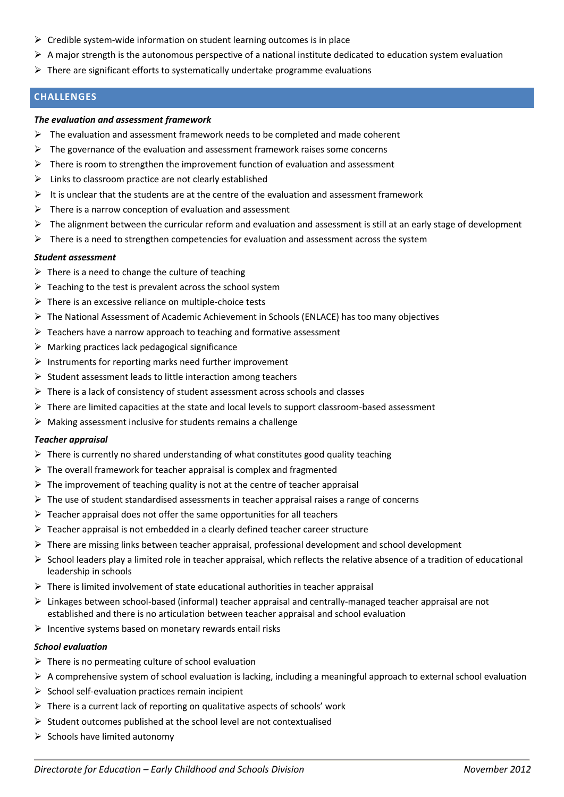- $\triangleright$  Credible system-wide information on student learning outcomes is in place
- A major strength is the autonomous perspective of a national institute dedicated to education system evaluation
- $\triangleright$  There are significant efforts to systematically undertake programme evaluations

# **CHALLENGES**

#### *The evaluation and assessment framework*

- $\triangleright$  The evaluation and assessment framework needs to be completed and made coherent
- $\triangleright$  The governance of the evaluation and assessment framework raises some concerns
- $\triangleright$  There is room to strengthen the improvement function of evaluation and assessment
- $\triangleright$  Links to classroom practice are not clearly established
- It is unclear that the students are at the centre of the evaluation and assessment framework
- $\triangleright$  There is a narrow conception of evaluation and assessment
- $\triangleright$  The alignment between the curricular reform and evaluation and assessment is still at an early stage of development
- $\triangleright$  There is a need to strengthen competencies for evaluation and assessment across the system

#### *Student assessment*

- $\triangleright$  There is a need to change the culture of teaching
- $\triangleright$  Teaching to the test is prevalent across the school system
- $\triangleright$  There is an excessive reliance on multiple-choice tests
- $\triangleright$  The National Assessment of Academic Achievement in Schools (ENLACE) has too many objectives
- $\triangleright$  Teachers have a narrow approach to teaching and formative assessment
- $\triangleright$  Marking practices lack pedagogical significance
- $\triangleright$  Instruments for reporting marks need further improvement
- $\triangleright$  Student assessment leads to little interaction among teachers
- $\triangleright$  There is a lack of consistency of student assessment across schools and classes
- $\triangleright$  There are limited capacities at the state and local levels to support classroom-based assessment
- $\triangleright$  Making assessment inclusive for students remains a challenge

#### *Teacher appraisal*

- $\triangleright$  There is currently no shared understanding of what constitutes good quality teaching
- $\triangleright$  The overall framework for teacher appraisal is complex and fragmented
- $\triangleright$  The improvement of teaching quality is not at the centre of teacher appraisal
- $\triangleright$  The use of student standardised assessments in teacher appraisal raises a range of concerns
- $\triangleright$  Teacher appraisal does not offer the same opportunities for all teachers
- $\triangleright$  Teacher appraisal is not embedded in a clearly defined teacher career structure
- $\triangleright$  There are missing links between teacher appraisal, professional development and school development
- $\triangleright$  School leaders play a limited role in teacher appraisal, which reflects the relative absence of a tradition of educational leadership in schools
- $\triangleright$  There is limited involvement of state educational authorities in teacher appraisal
- $\triangleright$  Linkages between school-based (informal) teacher appraisal and centrally-managed teacher appraisal are not established and there is no articulation between teacher appraisal and school evaluation
- $\triangleright$  Incentive systems based on monetary rewards entail risks

# *School evaluation*

- $\triangleright$  There is no permeating culture of school evaluation
- $\triangleright$  A comprehensive system of school evaluation is lacking, including a meaningful approach to external school evaluation
- $\triangleright$  School self-evaluation practices remain incipient
- $\triangleright$  There is a current lack of reporting on qualitative aspects of schools' work
- $\triangleright$  Student outcomes published at the school level are not contextualised
- $\triangleright$  Schools have limited autonomy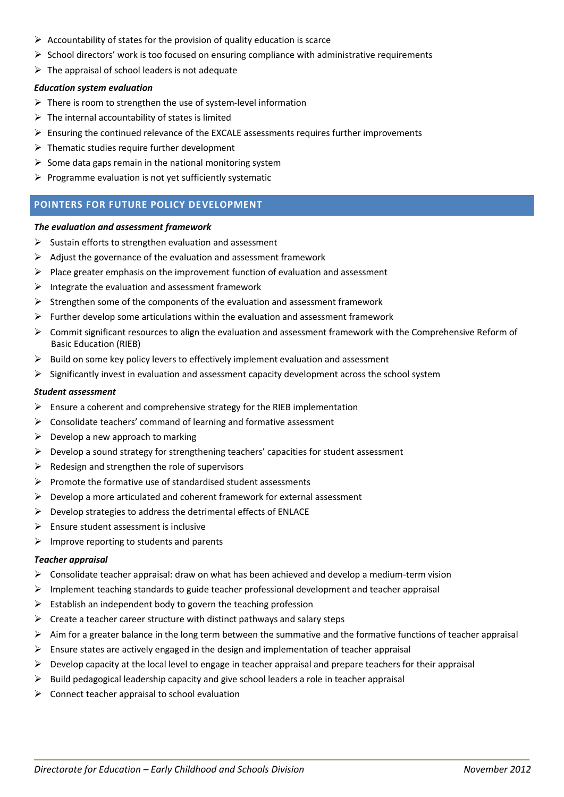- $\triangleright$  Accountability of states for the provision of quality education is scarce
- $\triangleright$  School directors' work is too focused on ensuring compliance with administrative requirements
- $\triangleright$  The appraisal of school leaders is not adequate

### *Education system evaluation*

- $\triangleright$  There is room to strengthen the use of system-level information
- $\triangleright$  The internal accountability of states is limited
- $\triangleright$  Ensuring the continued relevance of the EXCALE assessments requires further improvements
- $\triangleright$  Thematic studies require further development
- $\triangleright$  Some data gaps remain in the national monitoring system
- $\triangleright$  Programme evaluation is not yet sufficiently systematic

# **POINTERS FOR FUTURE POLICY DEVELOPMENT**

#### *The evaluation and assessment framework*

- $\triangleright$  Sustain efforts to strengthen evaluation and assessment
- $\triangleright$  Adjust the governance of the evaluation and assessment framework
- $\triangleright$  Place greater emphasis on the improvement function of evaluation and assessment
- $\triangleright$  Integrate the evaluation and assessment framework
- $\triangleright$  Strengthen some of the components of the evaluation and assessment framework
- $\triangleright$  Further develop some articulations within the evaluation and assessment framework
- $\triangleright$  Commit significant resources to align the evaluation and assessment framework with the Comprehensive Reform of Basic Education (RIEB)
- $\triangleright$  Build on some key policy levers to effectively implement evaluation and assessment
- $\triangleright$  Significantly invest in evaluation and assessment capacity development across the school system

#### *Student assessment*

- $\triangleright$  Ensure a coherent and comprehensive strategy for the RIEB implementation
- $\triangleright$  Consolidate teachers' command of learning and formative assessment
- $\triangleright$  Develop a new approach to marking
- $\triangleright$  Develop a sound strategy for strengthening teachers' capacities for student assessment
- $\triangleright$  Redesign and strengthen the role of supervisors
- $\triangleright$  Promote the formative use of standardised student assessments
- $\triangleright$  Develop a more articulated and coherent framework for external assessment
- $\triangleright$  Develop strategies to address the detrimental effects of ENLACE
- $\triangleright$  Ensure student assessment is inclusive
- $\triangleright$  Improve reporting to students and parents

#### *Teacher appraisal*

- $\triangleright$  Consolidate teacher appraisal: draw on what has been achieved and develop a medium-term vision
- $\triangleright$  Implement teaching standards to guide teacher professional development and teacher appraisal
- $\triangleright$  Establish an independent body to govern the teaching profession
- $\triangleright$  Create a teacher career structure with distinct pathways and salary steps
- $\triangleright$  Aim for a greater balance in the long term between the summative and the formative functions of teacher appraisal
- $\triangleright$  Ensure states are actively engaged in the design and implementation of teacher appraisal
- $\triangleright$  Develop capacity at the local level to engage in teacher appraisal and prepare teachers for their appraisal
- $\triangleright$  Build pedagogical leadership capacity and give school leaders a role in teacher appraisal
- $\triangleright$  Connect teacher appraisal to school evaluation